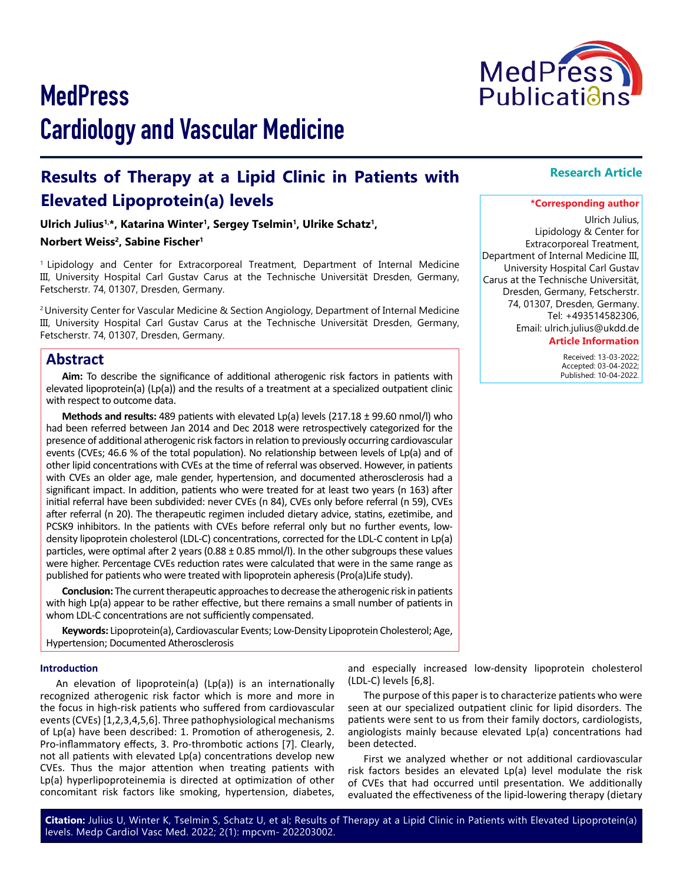# **Results of Therapy at a Lipid Clinic in Patients with Elevated Lipoprotein(a) levels**

**Ulrich Julius1,\*, Katarina Winter1, Sergey Tselmin1, Ulrike Schatz1,** 

## **Norbert Weiss<sup>2</sup>, Sabine Fischer<sup>1</sup>**

1 Lipidology and Center for Extracorporeal Treatment, Department of Internal Medicine III, University Hospital Carl Gustav Carus at the Technische Universität Dresden, Germany, Fetscherstr. 74, 01307, Dresden, Germany.

2 University Center for Vascular Medicine & Section Angiology, Department of Internal Medicine III, University Hospital Carl Gustav Carus at the Technische Universität Dresden, Germany, Fetscherstr. 74, 01307, Dresden, Germany.

## **Abstract**

**Aim:** To describe the significance of additional atherogenic risk factors in patients with elevated lipoprotein(a) (Lp(a)) and the results of a treatment at a specialized outpatient clinic with respect to outcome data.

**Methods and results:** 489 patients with elevated Lp(a) levels (217.18 ± 99.60 nmol/l) who had been referred between Jan 2014 and Dec 2018 were retrospectively categorized for the presence of additional atherogenic risk factors in relation to previously occurring cardiovascular events (CVEs; 46.6 % of the total population). No relationship between levels of Lp(a) and of other lipid concentrations with CVEs at the time of referral was observed. However, in patients with CVEs an older age, male gender, hypertension, and documented atherosclerosis had a significant impact. In addition, patients who were treated for at least two years (n 163) after initial referral have been subdivided: never CVEs (n 84), CVEs only before referral (n 59), CVEs after referral (n 20). The therapeutic regimen included dietary advice, statins, ezetimibe, and PCSK9 inhibitors. In the patients with CVEs before referral only but no further events, lowdensity lipoprotein cholesterol (LDL-C) concentrations, corrected for the LDL-C content in Lp(a) particles, were optimal after 2 years (0.88 ± 0.85 mmol/l). In the other subgroups these values were higher. Percentage CVEs reduction rates were calculated that were in the same range as published for patients who were treated with lipoprotein apheresis (Pro(a)Life study).

**Conclusion:** The current therapeutic approaches to decrease the atherogenic risk in patients with high Lp(a) appear to be rather effective, but there remains a small number of patients in whom LDL-C concentrations are not sufficiently compensated.

**Keywords:** Lipoprotein(a), Cardiovascular Events; Low-Density Lipoprotein Cholesterol; Age, Hypertension; Documented Atherosclerosis

#### **Introduction**

An elevation of lipoprotein(a) (Lp(a)) is an internationally recognized atherogenic risk factor which is more and more in the focus in high-risk patients who suffered from cardiovascular events (CVEs) [1,2,3,4,5,6]. Three pathophysiological mechanisms of Lp(a) have been described: 1. Promotion of atherogenesis, 2. Pro-inflammatory effects, 3. Pro-thrombotic actions [7]. Clearly, not all patients with elevated Lp(a) concentrations develop new CVEs. Thus the major attention when treating patients with Lp(a) hyperlipoproteinemia is directed at optimization of other concomitant risk factors like smoking, hypertension, diabetes,

and especially increased low-density lipoprotein cholesterol (LDL-C) levels [6,8].

The purpose of this paper is to characterize patients who were seen at our specialized outpatient clinic for lipid disorders. The patients were sent to us from their family doctors, cardiologists, angiologists mainly because elevated Lp(a) concentrations had been detected.

First we analyzed whether or not additional cardiovascular risk factors besides an elevated Lp(a) level modulate the risk of CVEs that had occurred until presentation. We additionally evaluated the effectiveness of the lipid-lowering therapy (dietary

**Citation:** Julius U, Winter K, Tselmin S, Schatz U, et al; Results of Therapy at a Lipid Clinic in Patients with Elevated Lipoprotein(a) levels. Medp Cardiol Vasc Med. 2022; 2(1): mpcvm- 202203002.

## **Research Article**

#### **\*Corresponding author**

Ulrich Julius, Lipidology & Center for Extracorporeal Treatment, Department of Internal Medicine III, University Hospital Carl Gustav Carus at the Technische Universität, Dresden, Germany, Fetscherstr. 74, 01307, Dresden, Germany. Tel: +493514582306, Email: ulrich.julius@ukdd.de **Article Information**

> Received: 13-03-2022; Accepted: 03-04-2022; Published: 10-04-2022.

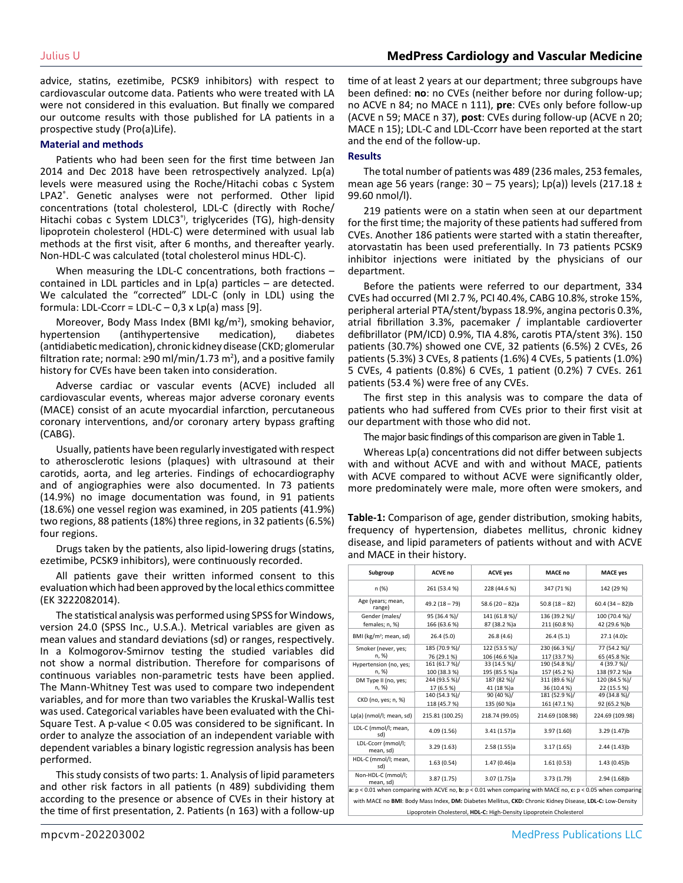advice, statins, ezetimibe, PCSK9 inhibitors) with respect to cardiovascular outcome data. Patients who were treated with LA were not considered in this evaluation. But finally we compared our outcome results with those published for LA patients in a prospective study (Pro(a)Life).

#### **Material and methods**

Patients who had been seen for the first time between Jan 2014 and Dec 2018 have been retrospectively analyzed. Lp(a) levels were measured using the Roche/Hitachi cobas c System LPA2<sup>®</sup>. Genetic analyses were not performed. Other lipid concentrations (total cholesterol, LDL-C (directly with Roche/ Hitachi cobas c System LDLC3<sup>®</sup>, triglycerides (TG), high-density lipoprotein cholesterol (HDL-C) were determined with usual lab methods at the first visit, after 6 months, and thereafter yearly. Non-HDL-C was calculated (total cholesterol minus HDL-C).

When measuring the LDL-C concentrations, both fractions – contained in LDL particles and in Lp(a) particles – are detected. We calculated the "corrected" LDL-C (only in LDL) using the formula: LDL-Ccorr = LDL-C – 0,3 x Lp(a) mass [9].

Moreover, Body Mass Index (BMI kg/m<sup>2</sup>), smoking behavior, hypertension (antihypertensive medication), diabetes (antidiabetic medication), chronic kidney disease (CKD; glomerular filtration rate; normal: ≥90 ml/min/1.73 m<sup>2</sup>), and a positive family history for CVEs have been taken into consideration.

Adverse cardiac or vascular events (ACVE) included all cardiovascular events, whereas major adverse coronary events (MACE) consist of an acute myocardial infarction, percutaneous coronary interventions, and/or coronary artery bypass grafting (CABG).

Usually, patients have been regularly investigated with respect to atherosclerotic lesions (plaques) with ultrasound at their carotids, aorta, and leg arteries. Findings of echocardiography and of angiographies were also documented. In 73 patients (14.9%) no image documentation was found, in 91 patients (18.6%) one vessel region was examined, in 205 patients (41.9%) two regions, 88 patients (18%) three regions, in 32 patients (6.5%) four regions.

Drugs taken by the patients, also lipid-lowering drugs (statins, ezetimibe, PCSK9 inhibitors), were continuously recorded.

All patients gave their written informed consent to this evaluation which had been approved by the local ethics committee (EK 3222082014).

The statistical analysis was performed using SPSS for Windows, version 24.0 (SPSS Inc., U.S.A.). Metrical variables are given as mean values and standard deviations (sd) or ranges, respectively. In a Kolmogorov-Smirnov testing the studied variables did not show a normal distribution. Therefore for comparisons of continuous variables non-parametric tests have been applied. The Mann-Whitney Test was used to compare two independent variables, and for more than two variables the Kruskal-Wallis test was used. Categorical variables have been evaluated with the Chi-Square Test. A p-value < 0.05 was considered to be significant. In order to analyze the association of an independent variable with dependent variables a binary logistic regression analysis has been performed.

This study consists of two parts: 1. Analysis of lipid parameters and other risk factors in all patients (n 489) subdividing them according to the presence or absence of CVEs in their history at the time of first presentation, 2. Patients (n 163) with a follow-up

time of at least 2 years at our department; three subgroups have been defined: **no**: no CVEs (neither before nor during follow-up; no ACVE n 84; no MACE n 111), **pre**: CVEs only before follow-up (ACVE n 59; MACE n 37), **post**: CVEs during follow-up (ACVE n 20; MACE n 15); LDL-C and LDL-Ccorr have been reported at the start and the end of the follow-up.

#### **Results**

The total number of patients was 489 (236 males, 253 females, mean age 56 years (range: 30 – 75 years); Lp(a)) levels (217.18 ± 99.60 nmol/l).

219 patients were on a statin when seen at our department for the first time; the majority of these patients had suffered from CVEs. Another 186 patients were started with a statin thereafter, atorvastatin has been used preferentially. In 73 patients PCSK9 inhibitor injections were initiated by the physicians of our department.

Before the patients were referred to our department, 334 CVEs had occurred (MI 2.7 %, PCI 40.4%, CABG 10.8%, stroke 15%, peripheral arterial PTA/stent/bypass 18.9%, angina pectoris 0.3%, atrial fibrillation 3.3%, pacemaker / implantable cardioverter defibrillator (PM/ICD) 0.9%, TIA 4.8%, carotis PTA/stent 3%). 150 patients (30.7%) showed one CVE, 32 patients (6.5%) 2 CVEs, 26 patients (5.3%) 3 CVEs, 8 patients (1.6%) 4 CVEs, 5 patients (1.0%) 5 CVEs, 4 patients (0.8%) 6 CVEs, 1 patient (0.2%) 7 CVEs. 261 patients (53.4 %) were free of any CVEs.

The first step in this analysis was to compare the data of patients who had suffered from CVEs prior to their first visit at our department with those who did not.

The major basic findings of this comparison are given in Table 1.

Whereas Lp(a) concentrations did not differ between subjects with and without ACVE and with and without MACE, patients with ACVE compared to without ACVE were significantly older, more predominately were male, more often were smokers, and

**Table-1:** Comparison of age, gender distribution, smoking habits, frequency of hypertension, diabetes mellitus, chronic kidney disease, and lipid parameters of patients without and with ACVE and MACE in their history.

| Subgroup                                                                                                                                                                          | ACVE no         | <b>ACVE yes</b> | <b>MACE no</b>  | <b>MACE yes</b> |
|-----------------------------------------------------------------------------------------------------------------------------------------------------------------------------------|-----------------|-----------------|-----------------|-----------------|
| n (%)                                                                                                                                                                             | 261 (53.4 %)    | 228 (44.6 %)    | 347 (71 %)      | 142 (29 %)      |
| Age (years; mean,<br>range)                                                                                                                                                       | $49.2(18 - 79)$ | $58.6(20-82)a$  | $50.8(18-82)$   | $60.4(34-82)b$  |
| Gender (males/                                                                                                                                                                    | 95 (36.4 %)/    | 141 (61.8%)/    | 136 (39.2 %)/   | 100 (70.4 %)/   |
| females; n, %)                                                                                                                                                                    | 166 (63.6%)     | 87 (38.2 %)a    | 211 (60.8%)     | 42 (29.6 %)b    |
| BMI (kg/m <sup>2</sup> ; mean, sd)                                                                                                                                                | 26.4(5.0)       | 26.8(4.6)       | 26.4(5.1)       | 27.1 (4.0)c     |
| Smoker (never, yes;                                                                                                                                                               | 185 (70.9 %)/   | 122 (53.5 %)/   | 230 (66.3 %)/   | 77 (54.2 %)/    |
| n. %)                                                                                                                                                                             | 76 (29.1 %)     | 106 (46.6 %)a   | 117 (33.7%)     | 65 (45.8 %)c    |
| Hypertension (no, yes;                                                                                                                                                            | 161 (61.7%)/    | 33 (14.5 %)/    | 190 (54.8 %)/   | 4 (39.7 %)/     |
| n, %)                                                                                                                                                                             | 100 (38.3%)     | 195 (85.5 %)a   | 157 (45.2 %)    | 138 (97.2 %)a   |
| DM Type II (no, yes;                                                                                                                                                              | 244 (93.5 %)/   | 187 (82 %)/     | 311 (89.6 %)/   | 120 (84.5 %)/   |
| n, %)                                                                                                                                                                             | 17 (6.5 %)      | 41 (18 %)a      | 36 (10.4 %)     | 22 (15.5 %)     |
|                                                                                                                                                                                   | 140 (54.3 %)/   | 90 (40 %)/      | 181 (52.9 %)/   | 49 (34.8 %)/    |
| CKD (no, yes; n, %)                                                                                                                                                               | 118 (45.7%)     | 135 (60 %)a     | 161 (47.1%)     | 92 (65.2 %)b    |
| Lp(a) (nmol/l; mean, sd)                                                                                                                                                          | 215.81 (100.25) | 218.74 (99.05)  | 214.69 (108.98) | 224.69 (109.98) |
| LDL-C (mmol/l; mean,<br>sd)                                                                                                                                                       | 4.09(1.56)      | 3.41(1.57)a     | 3.97 (1.60)     | 3.29 (1.47)b    |
| LDL-Ccorr (mmol/l;<br>mean, sd)                                                                                                                                                   | 3.29(1.63)      | 2.58(1.55)a     | 3.17(1.65)      | 2.44(1.43)b     |
| HDL-C (mmol/l; mean,<br>sd)                                                                                                                                                       | 1.63(0.54)      | 1.47(0.46)a     | 1.61(0.53)      | 1.43(0.45)b     |
| Non-HDL-C (mmol/l;<br>mean, sd)                                                                                                                                                   | 3.87(1.75)      | 3.07(1.75)a     | 3.73 (1.79)     | 2.94(1.68)b     |
| a: $p < 0.01$ when comparing with ACVE no, b: $p < 0.01$ when comparing with MACE no, c: $p < 0.05$ when comparing                                                                |                 |                 |                 |                 |
| with MACE no BMI: Body Mass Index, DM: Diabetes Mellitus, CKD: Chronic Kidney Disease, LDL-C: Low-Density<br>Lipoprotein Cholesterol, HDL-C: High-Density Lipoprotein Cholesterol |                 |                 |                 |                 |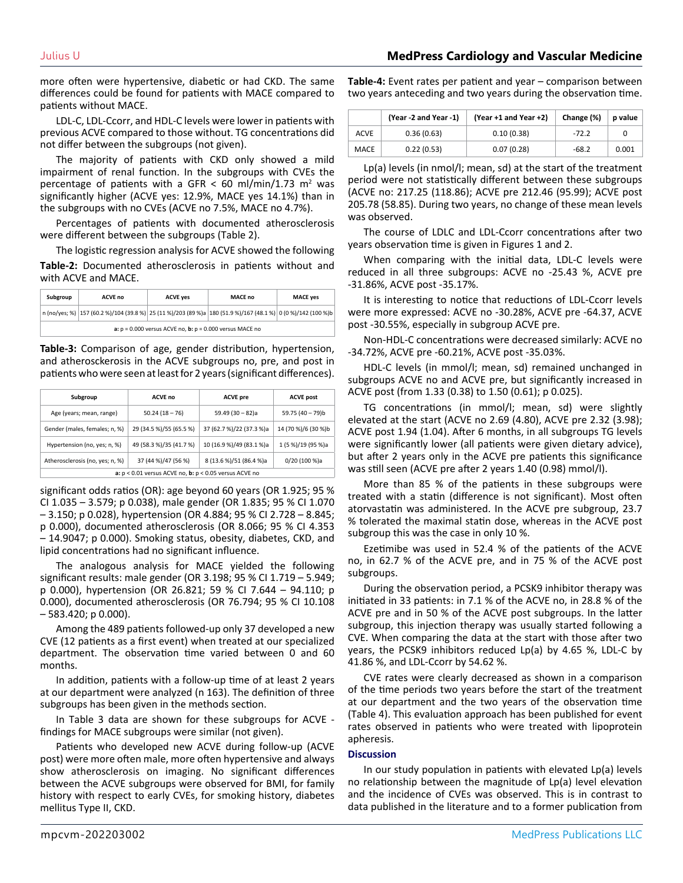more often were hypertensive, diabetic or had CKD. The same differences could be found for patients with MACE compared to patients without MACE.

LDL-C, LDL-Ccorr, and HDL-C levels were lower in patients with previous ACVE compared to those without. TG concentrations did not differ between the subgroups (not given).

The majority of patients with CKD only showed a mild impairment of renal function. In the subgroups with CVEs the percentage of patients with a GFR  $<$  60 ml/min/1.73 m<sup>2</sup> was significantly higher (ACVE yes: 12.9%, MACE yes 14.1%) than in the subgroups with no CVEs (ACVE no 7.5%, MACE no 4.7%).

Percentages of patients with documented atherosclerosis were different between the subgroups (Table 2).

The logistic regression analysis for ACVE showed the following **Table-2:** Documented atherosclerosis in patients without and with ACVE and MACE.

| Subgroup                                                             | <b>ACVE no</b>                                                                                               | <b>ACVE yes</b> | MACE no | <b>MACE ves</b> |
|----------------------------------------------------------------------|--------------------------------------------------------------------------------------------------------------|-----------------|---------|-----------------|
|                                                                      | n (no/yes; %) 157 (60.2 %)/104 (39.8 %) 25 (11 %)/203 (89 %)a 180 (51.9 %)/167 (48.1 %) 0 (0 %)/142 (100 %)b |                 |         |                 |
| a: $p = 0.000$ versus ACVE no, <b>b</b> : $p = 0.000$ versus MACE no |                                                                                                              |                 |         |                 |

**Table-3:** Comparison of age, gender distribution, hypertension, and atherosckerosis in the ACVE subgroups no, pre, and post in patients who were seen at least for 2 years (significant differences).

| Subgroup                                                   | <b>ACVE no</b>          | <b>ACVE pre</b>          | <b>ACVE post</b>    |
|------------------------------------------------------------|-------------------------|--------------------------|---------------------|
| Age (years; mean, range)                                   | $50.24(18-76)$          | $59.49(30-82)a$          | 59.75 (40 - 79)b    |
| Gender (males, females; n, %)                              | 29 (34.5 %)/55 (65.5 %) | 37 (62.7 %)/22 (37.3 %)a | 14 (70 %)/6 (30 %)b |
| Hypertension (no, yes; n, %)                               | 49 (58.3 %)/35 (41.7 %) | 10 (16.9 %)/49 (83.1 %)a | 1 (5 %)/19 (95 %)a  |
| Atherosclerosis (no, yes; n, %)                            | 37 (44 %)/47 (56 %)     | 8 (13.6 %)/51 (86.4 %)a  | 0/20 (100 %)a       |
| a: $p < 0.01$ versus ACVE no, b: $p < 0.05$ versus ACVE no |                         |                          |                     |

significant odds ratios (OR): age beyond 60 years (OR 1.925; 95 % CI 1.035 – 3.579; p 0.038), male gender (OR 1.835; 95 % CI 1.070 – 3.150; p 0.028), hypertension (OR 4.884; 95 % CI 2.728 – 8.845; p 0.000), documented atherosclerosis (OR 8.066; 95 % CI 4.353 – 14.9047; p 0.000). Smoking status, obesity, diabetes, CKD, and lipid concentrations had no significant influence.

The analogous analysis for MACE yielded the following significant results: male gender (OR 3.198; 95 % CI 1.719 – 5.949; p 0.000), hypertension (OR 26.821; 59 % CI 7.644 – 94.110; p 0.000), documented atherosclerosis (OR 76.794; 95 % CI 10.108  $-583.420; p 0.000$ ).

Among the 489 patients followed-up only 37 developed a new CVE (12 patients as a first event) when treated at our specialized department. The observation time varied between 0 and 60 months.

In addition, patients with a follow-up time of at least 2 years at our department were analyzed (n 163). The definition of three subgroups has been given in the methods section.

In Table 3 data are shown for these subgroups for ACVE findings for MACE subgroups were similar (not given).

Patients who developed new ACVE during follow-up (ACVE post) were more often male, more often hypertensive and always show atherosclerosis on imaging. No significant differences between the ACVE subgroups were observed for BMI, for family history with respect to early CVEs, for smoking history, diabetes mellitus Type II, CKD.

**Table-4:** Event rates per patient and year – comparison between two years anteceding and two years during the observation time.

|             | (Year -2 and Year -1) | (Year +1 and Year +2) | Change (%) | p value |
|-------------|-----------------------|-----------------------|------------|---------|
| <b>ACVE</b> | 0.36(0.63)            | 0.10(0.38)            | $-72.2$    | 0       |
| MACE        | 0.22(0.53)            | 0.07(0.28)            | $-68.2$    | 0.001   |

Lp(a) levels (in nmol/l; mean, sd) at the start of the treatment period were not statistically different between these subgroups (ACVE no: 217.25 (118.86); ACVE pre 212.46 (95.99); ACVE post 205.78 (58.85). During two years, no change of these mean levels was observed.

The course of LDLC and LDL-Ccorr concentrations after two years observation time is given in Figures 1 and 2.

When comparing with the initial data, LDL-C levels were reduced in all three subgroups: ACVE no -25.43 %, ACVE pre -31.86%, ACVE post -35.17%.

It is interesting to notice that reductions of LDL-Ccorr levels were more expressed: ACVE no -30.28%, ACVE pre -64.37, ACVE post -30.55%, especially in subgroup ACVE pre.

Non-HDL-C concentrations were decreased similarly: ACVE no -34.72%, ACVE pre -60.21%, ACVE post -35.03%.

HDL-C levels (in mmol/l; mean, sd) remained unchanged in subgroups ACVE no and ACVE pre, but significantly increased in ACVE post (from 1.33 (0.38) to 1.50 (0.61); p 0.025).

TG concentrations (in mmol/l; mean, sd) were slightly elevated at the start (ACVE no 2.69 (4.80), ACVE pre 2.32 (3.98); ACVE post 1.94 (1.04). After 6 months, in all subgroups TG levels were significantly lower (all patients were given dietary advice), but after 2 years only in the ACVE pre patients this significance was still seen (ACVE pre after 2 years 1.40 (0.98) mmol/l).

More than 85 % of the patients in these subgroups were treated with a statin (difference is not significant). Most often atorvastatin was administered. In the ACVE pre subgroup, 23.7 % tolerated the maximal statin dose, whereas in the ACVE post subgroup this was the case in only 10 %.

Ezetimibe was used in 52.4 % of the patients of the ACVE no, in 62.7 % of the ACVE pre, and in 75 % of the ACVE post subgroups.

During the observation period, a PCSK9 inhibitor therapy was initiated in 33 patients: in 7.1 % of the ACVE no, in 28.8 % of the ACVE pre and in 50 % of the ACVE post subgroups. In the latter subgroup, this injection therapy was usually started following a CVE. When comparing the data at the start with those after two years, the PCSK9 inhibitors reduced Lp(a) by 4.65 %, LDL-C by 41.86 %, and LDL-Ccorr by 54.62 %.

CVE rates were clearly decreased as shown in a comparison of the time periods two years before the start of the treatment at our department and the two years of the observation time (Table 4). This evaluation approach has been published for event rates observed in patients who were treated with lipoprotein apheresis.

#### **Discussion**

In our study population in patients with elevated Lp(a) levels no relationship between the magnitude of Lp(a) level elevation and the incidence of CVEs was observed. This is in contrast to data published in the literature and to a former publication from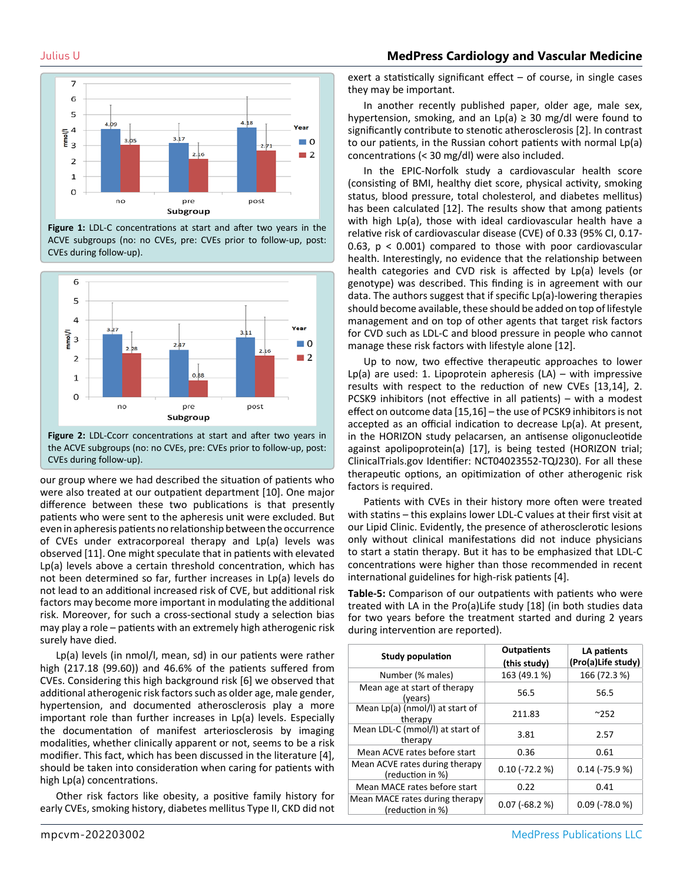### Julius U **MedPress Cardiology and Vascular Medicine**



**Figure 1:** LDL-C concentrations at start and after two years in the ACVE subgroups (no: no CVEs, pre: CVEs prior to follow-up, post: CVEs during follow-up).



**Figure 2:** LDL-Ccorr concentrations at start and after two years in the ACVE subgroups (no: no CVEs, pre: CVEs prior to follow-up, post: CVEs during follow-up).

our group where we had described the situation of patients who were also treated at our outpatient department [10]. One major difference between these two publications is that presently patients who were sent to the apheresis unit were excluded. But even in apheresis patients no relationship between the occurrence of CVEs under extracorporeal therapy and Lp(a) levels was observed [11]. One might speculate that in patients with elevated Lp(a) levels above a certain threshold concentration, which has not been determined so far, further increases in Lp(a) levels do not lead to an additional increased risk of CVE, but additional risk factors may become more important in modulating the additional risk. Moreover, for such a cross-sectional study a selection bias may play a role – patients with an extremely high atherogenic risk surely have died.

Lp(a) levels (in nmol/l, mean, sd) in our patients were rather high (217.18 (99.60)) and 46.6% of the patients suffered from CVEs. Considering this high background risk [6] we observed that additional atherogenic risk factors such as older age, male gender, hypertension, and documented atherosclerosis play a more important role than further increases in Lp(a) levels. Especially the documentation of manifest arteriosclerosis by imaging modalities, whether clinically apparent or not, seems to be a risk modifier. This fact, which has been discussed in the literature [4], should be taken into consideration when caring for patients with high Lp(a) concentrations.

Other risk factors like obesity, a positive family history for early CVEs, smoking history, diabetes mellitus Type II, CKD did not

exert a statistically significant effect – of course, in single cases they may be important.

In another recently published paper, older age, male sex, hypertension, smoking, and an Lp(a)  $\geq$  30 mg/dl were found to significantly contribute to stenotic atherosclerosis [2]. In contrast to our patients, in the Russian cohort patients with normal Lp(a) concentrations (< 30 mg/dl) were also included.

In the EPIC-Norfolk study a cardiovascular health score (consisting of BMI, healthy diet score, physical activity, smoking status, blood pressure, total cholesterol, and diabetes mellitus) has been calculated [12]. The results show that among patients with high Lp(a), those with ideal cardiovascular health have a relative risk of cardiovascular disease (CVE) of 0.33 (95% CI, 0.17- 0.63, p < 0.001) compared to those with poor cardiovascular health. Interestingly, no evidence that the relationship between health categories and CVD risk is affected by Lp(a) levels (or genotype) was described. This finding is in agreement with our data. The authors suggest that if specific Lp(a)-lowering therapies should become available, these should be added on top of lifestyle management and on top of other agents that target risk factors for CVD such as LDL-C and blood pressure in people who cannot manage these risk factors with lifestyle alone [12].

Up to now, two effective therapeutic approaches to lower Lp(a) are used: 1. Lipoprotein apheresis  $(LA)$  – with impressive results with respect to the reduction of new CVEs [13,14], 2. PCSK9 inhibitors (not effective in all patients) – with a modest effect on outcome data [15,16] – the use of PCSK9 inhibitors is not accepted as an official indication to decrease Lp(a). At present, in the HORIZON study pelacarsen, an antisense oligonucleotide against apolipoprotein(a) [17], is being tested (HORIZON trial; ClinicalTrials.gov Identifier: NCT04023552-TQJ230). For all these therapeutic options, an opitimization of other atherogenic risk factors is required.

Patients with CVEs in their history more often were treated with statins – this explains lower LDL-C values at their first visit at our Lipid Clinic. Evidently, the presence of atherosclerotic lesions only without clinical manifestations did not induce physicians to start a statin therapy. But it has to be emphasized that LDL-C concentrations were higher than those recommended in recent international guidelines for high-risk patients [4].

**Table-5:** Comparison of our outpatients with patients who were treated with LA in the Pro(a)Life study [18] (in both studies data for two years before the treatment started and during 2 years during intervention are reported).

| <b>Study population</b>                            | <b>Outpatients</b><br>(this study) | LA patients<br>(Pro(a)Life study) |
|----------------------------------------------------|------------------------------------|-----------------------------------|
| Number (% males)                                   | 163 (49.1 %)                       | 166 (72.3 %)                      |
| Mean age at start of therapy<br>(years)            | 56.5                               | 56.5                              |
| Mean Lp(a) (nmol/l) at start of<br>therapy         | 211.83                             | $^{\sim}252$                      |
| Mean LDL-C (mmol/l) at start of<br>therapy         | 3.81                               | 2.57                              |
| Mean ACVE rates before start                       | 0.36                               | 0.61                              |
| Mean ACVE rates during therapy<br>(reduction in %) | $0.10$ (-72.2 %)                   | $0.14$ (-75.9 %)                  |
| Mean MACE rates before start                       | 0.22                               | 0.41                              |
| Mean MACE rates during therapy<br>(reduction in %) | $0.07$ (-68.2 %)                   | $0.09$ (-78.0 %)                  |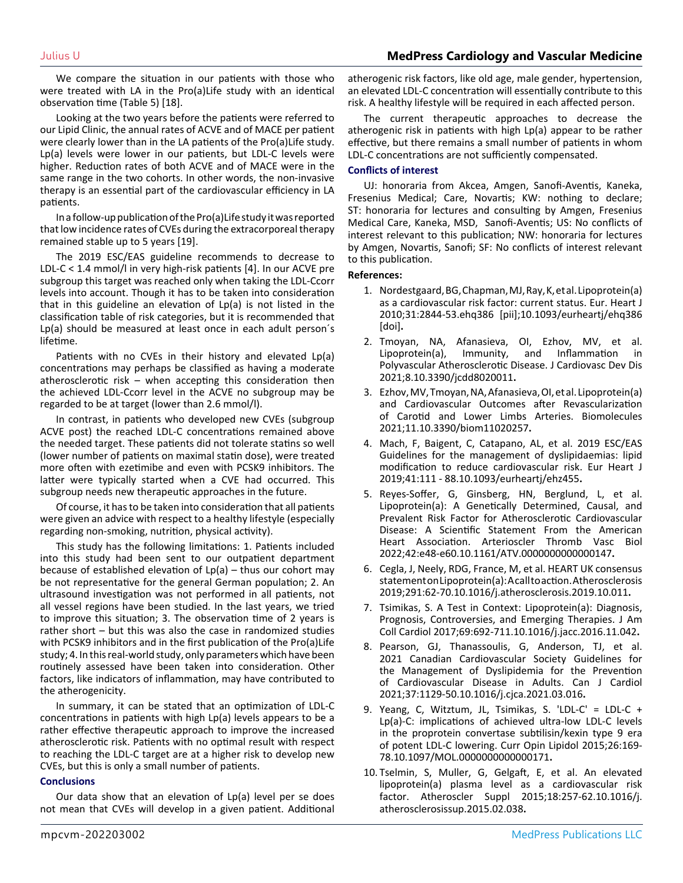We compare the situation in our patients with those who were treated with LA in the Pro(a)Life study with an identical observation time (Table 5) [18].

Looking at the two years before the patients were referred to our Lipid Clinic, the annual rates of ACVE and of MACE per patient were clearly lower than in the LA patients of the Pro(a)Life study. Lp(a) levels were lower in our patients, but LDL-C levels were higher. Reduction rates of both ACVE and of MACE were in the same range in the two cohorts. In other words, the non-invasive therapy is an essential part of the cardiovascular efficiency in LA patients.

In a follow-up publication of the Pro(a)Life study it was reported that low incidence rates of CVEs during the extracorporeal therapy remained stable up to 5 years [19].

The 2019 ESC/EAS guideline recommends to decrease to LDL-C < 1.4 mmol/l in very high-risk patients [4]. In our ACVE pre subgroup this target was reached only when taking the LDL-Ccorr levels into account. Though it has to be taken into consideration that in this guideline an elevation of Lp(a) is not listed in the classification table of risk categories, but it is recommended that Lp(a) should be measured at least once in each adult person´s lifetime.

Patients with no CVEs in their history and elevated Lp(a) concentrations may perhaps be classified as having a moderate atherosclerotic risk – when accepting this consideration then the achieved LDL-Ccorr level in the ACVE no subgroup may be regarded to be at target (lower than 2.6 mmol/l).

In contrast, in patients who developed new CVEs (subgroup ACVE post) the reached LDL-C concentrations remained above the needed target. These patients did not tolerate statins so well (lower number of patients on maximal statin dose), were treated more often with ezetimibe and even with PCSK9 inhibitors. The latter were typically started when a CVE had occurred. This subgroup needs new therapeutic approaches in the future.

Of course, it has to be taken into consideration that all patients were given an advice with respect to a healthy lifestyle (especially regarding non-smoking, nutrition, physical activity).

This study has the following limitations: 1. Patients included into this study had been sent to our outpatient department because of established elevation of  $Lp(a)$  – thus our cohort may be not representative for the general German population; 2. An ultrasound investigation was not performed in all patients, not all vessel regions have been studied. In the last years, we tried to improve this situation; 3. The observation time of 2 years is rather short – but this was also the case in randomized studies with PCSK9 inhibitors and in the first publication of the Pro(a)Life study; 4. In this real-world study, only parameters which have been routinely assessed have been taken into consideration. Other factors, like indicators of inflammation, may have contributed to the atherogenicity.

In summary, it can be stated that an optimization of LDL-C concentrations in patients with high Lp(a) levels appears to be a rather effective therapeutic approach to improve the increased atherosclerotic risk. Patients with no optimal result with respect to reaching the LDL-C target are at a higher risk to develop new CVEs, but this is only a small number of patients.

#### **Conclusions**

Our data show that an elevation of Lp(a) level per se does not mean that CVEs will develop in a given patient. Additional atherogenic risk factors, like old age, male gender, hypertension, an elevated LDL-C concentration will essentially contribute to this risk. A healthy lifestyle will be required in each affected person.

The current therapeutic approaches to decrease the atherogenic risk in patients with high Lp(a) appear to be rather effective, but there remains a small number of patients in whom LDL-C concentrations are not sufficiently compensated.

#### **Conflicts of interest**

UJ: honoraria from Akcea, Amgen, Sanofi-Aventis, Kaneka, Fresenius Medical; Care, Novartis; KW: nothing to declare; ST: honoraria for lectures and consulting by Amgen, Fresenius Medical Care, Kaneka, MSD, Sanofi-Aventis; US: No conflicts of interest relevant to this publication; NW: honoraria for lectures by Amgen, Novartis, Sanofi; SF: No conflicts of interest relevant to this publication.

#### **References:**

- 1. [Nordestgaard, BG, Chapman, MJ, Ray, K, et al. Lipoprotein\(a\)](https://pubmed.ncbi.nlm.nih.gov/20965889/)  [as a cardiovascular risk factor: current status. Eur. Heart J](https://pubmed.ncbi.nlm.nih.gov/20965889/)  [2010;31:2844-53.ehq386 \[pii\];10.1093/eurheartj/ehq386](https://pubmed.ncbi.nlm.nih.gov/20965889/) [\[doi\]](https://pubmed.ncbi.nlm.nih.gov/20965889/)**.**
- 2. [Tmoyan, NA, Afanasieva, OI, Ezhov, MV, et al.](https://pubmed.ncbi.nlm.nih.gov/33513851/)  [Lipoprotein\(a\), Immunity, and Inflammation in](https://pubmed.ncbi.nlm.nih.gov/33513851/)  [Polyvascular Atherosclerotic Disease. J Cardiovasc Dev Dis](https://pubmed.ncbi.nlm.nih.gov/33513851/)  [2021;8.10.3390/jcdd8020011](https://pubmed.ncbi.nlm.nih.gov/33513851/)**.**
- 3. [Ezhov, MV, Tmoyan, NA, Afanasieva, OI, et al. Lipoprotein\(a\)](https://pubmed.ncbi.nlm.nih.gov/33578899/)  [and Cardiovascular Outcomes after Revascularization](https://pubmed.ncbi.nlm.nih.gov/33578899/)  [of Carotid and Lower Limbs Arteries. Biomolecules](https://pubmed.ncbi.nlm.nih.gov/33578899/)  [2021;11.10.3390/biom11020257](https://pubmed.ncbi.nlm.nih.gov/33578899/)**.**
- 4. [Mach, F, Baigent, C, Catapano, AL, et al. 2019 ESC/EAS](https://pubmed.ncbi.nlm.nih.gov/31504418/)  [Guidelines for the management of dyslipidaemias: lipid](https://pubmed.ncbi.nlm.nih.gov/31504418/)  [modification to reduce cardiovascular risk. Eur Heart J](https://pubmed.ncbi.nlm.nih.gov/31504418/)  [2019;41:111 - 88.10.1093/eurheartj/ehz455](https://pubmed.ncbi.nlm.nih.gov/31504418/)**.**
- 5. [Reyes-Soffer, G, Ginsberg, HN, Berglund, L, et al.](https://pubmed.ncbi.nlm.nih.gov/34647487/)  [Lipoprotein\(a\): A Genetically Determined, Causal, and](https://pubmed.ncbi.nlm.nih.gov/34647487/)  [Prevalent Risk Factor for Atherosclerotic Cardiovascular](https://pubmed.ncbi.nlm.nih.gov/34647487/)  [Disease: A Scientific Statement From the American](https://pubmed.ncbi.nlm.nih.gov/34647487/)  [Heart Association. Arterioscler Thromb Vasc Biol](https://pubmed.ncbi.nlm.nih.gov/34647487/)  [2022;42:e48-e60.10.1161/ATV.0000000000000147](https://pubmed.ncbi.nlm.nih.gov/34647487/)**.**
- 6. [Cegla, J, Neely, RDG, France, M, et al. HEART UK consensus](https://pubmed.ncbi.nlm.nih.gov/31704552/)  [statement on Lipoprotein\(a\): A call to action. Atherosclerosis](https://pubmed.ncbi.nlm.nih.gov/31704552/)  [2019;291:62-70.10.1016/j.atherosclerosis.2019.10.011](https://pubmed.ncbi.nlm.nih.gov/31704552/)**.**
- 7. [Tsimikas, S. A Test in Context: Lipoprotein\(a\): Diagnosis,](https://pubmed.ncbi.nlm.nih.gov/28183512/)  [Prognosis, Controversies, and Emerging Therapies. J Am](https://pubmed.ncbi.nlm.nih.gov/28183512/)  [Coll Cardiol 2017;69:692-711.10.1016/j.jacc.2016.11.042](https://pubmed.ncbi.nlm.nih.gov/28183512/)**.**
- 8. [Pearson, GJ, Thanassoulis, G, Anderson, TJ, et al.](https://pubmed.ncbi.nlm.nih.gov/33781847/)  [2021 Canadian Cardiovascular Society Guidelines for](https://pubmed.ncbi.nlm.nih.gov/33781847/)  [the Management of Dyslipidemia for the Prevention](https://pubmed.ncbi.nlm.nih.gov/33781847/)  [of Cardiovascular Disease in Adults. Can J Cardiol](https://pubmed.ncbi.nlm.nih.gov/33781847/)  [2021;37:1129-50.10.1016/j.cjca.2021.03.016](https://pubmed.ncbi.nlm.nih.gov/33781847/)**.**
- 9. [Yeang, C, Witztum, JL, Tsimikas, S. 'LDL-C' = LDL-C +](https://pubmed.ncbi.nlm.nih.gov/25943842/)  [Lp\(a\)-C: implications of achieved ultra-low LDL-C levels](https://pubmed.ncbi.nlm.nih.gov/25943842/)  [in the proprotein convertase subtilisin/kexin type 9 era](https://pubmed.ncbi.nlm.nih.gov/25943842/)  [of potent LDL-C lowering. Curr Opin Lipidol 2015;26:169-](https://pubmed.ncbi.nlm.nih.gov/25943842/) [78.10.1097/MOL.0000000000000171](https://pubmed.ncbi.nlm.nih.gov/25943842/)**.**
- 10. [Tselmin, S, Muller, G, Gelgaft, E, et al. An elevated](https://pubmed.ncbi.nlm.nih.gov/25936334/#:~:text=Conclusions%3A A Lp(a),most important cardiovascular risk factor.)  [lipoprotein\(a\) plasma level as a cardiovascular risk](https://pubmed.ncbi.nlm.nih.gov/25936334/#:~:text=Conclusions%3A A Lp(a),most important cardiovascular risk factor.)  [factor. Atheroscler Suppl 2015;18:257-62.10.1016/j.](https://pubmed.ncbi.nlm.nih.gov/25936334/#:~:text=Conclusions%3A A Lp(a),most important cardiovascular risk factor.) [atherosclerosissup.2015.02.038](https://pubmed.ncbi.nlm.nih.gov/25936334/#:~:text=Conclusions%3A A Lp(a),most important cardiovascular risk factor.)**.**